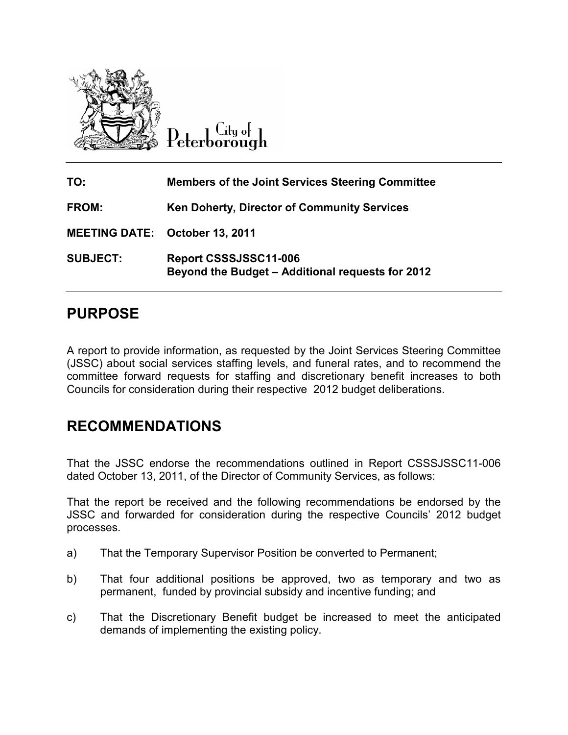

Litu o<del>l</del>  $\left[\begin{smallmatrix} 0 & 0 & 0 & 0 \\ 0 & 0 & 0 & 0 \\ 0 & 0 & 0 & 0 \\ 0 & 0 & 0 & 0 \\ 0 & 0 & 0 & 0 \\ 0 & 0 & 0 & 0 \\ 0 & 0 & 0 & 0 \\ 0 & 0 & 0 & 0 \\ 0 & 0 & 0 & 0 \\ 0 & 0 & 0 & 0 \\ 0 & 0 & 0 & 0 \\ 0 & 0 & 0 & 0 \\ 0 & 0 & 0 & 0 \\ 0 & 0 & 0 & 0 \\ 0 & 0 & 0 & 0 & 0 \\ 0 & 0 & 0 & 0 & 0 \\ 0 & 0 & 0 & 0 & 0$ 

| TO:                                   | <b>Members of the Joint Services Steering Committee</b>                   |
|---------------------------------------|---------------------------------------------------------------------------|
| <b>FROM:</b>                          | <b>Ken Doherty, Director of Community Services</b>                        |
| <b>MEETING DATE: October 13, 2011</b> |                                                                           |
| <b>SUBJECT:</b>                       | Report CSSSJSSC11-006<br>Beyond the Budget - Additional requests for 2012 |

### **PURPOSE**

A report to provide information, as requested by the Joint Services Steering Committee (JSSC) about social services staffing levels, and funeral rates, and to recommend the committee forward requests for staffing and discretionary benefit increases to both Councils for consideration during their respective 2012 budget deliberations.

### **RECOMMENDATIONS**

That the JSSC endorse the recommendations outlined in Report CSSSJSSC11-006 dated October 13, 2011, of the Director of Community Services, as follows:

That the report be received and the following recommendations be endorsed by the JSSC and forwarded for consideration during the respective Councils' 2012 budget processes.

- a) That the Temporary Supervisor Position be converted to Permanent;
- b) That four additional positions be approved, two as temporary and two as permanent, funded by provincial subsidy and incentive funding; and
- c) That the Discretionary Benefit budget be increased to meet the anticipated demands of implementing the existing policy.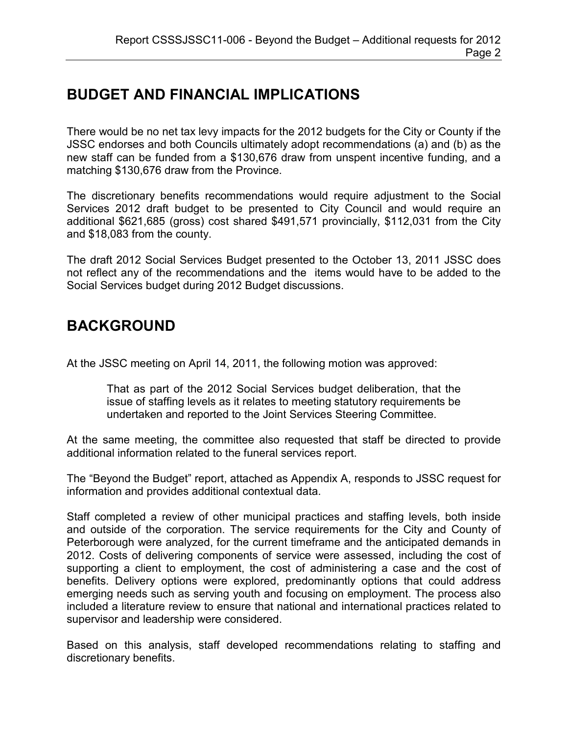# **BUDGET AND FINANCIAL IMPLICATIONS**

There would be no net tax levy impacts for the 2012 budgets for the City or County if the JSSC endorses and both Councils ultimately adopt recommendations (a) and (b) as the new staff can be funded from a \$130,676 draw from unspent incentive funding, and a matching \$130,676 draw from the Province.

The discretionary benefits recommendations would require adjustment to the Social Services 2012 draft budget to be presented to City Council and would require an additional \$621,685 (gross) cost shared \$491,571 provincially, \$112,031 from the City and \$18,083 from the county.

The draft 2012 Social Services Budget presented to the October 13, 2011 JSSC does not reflect any of the recommendations and the items would have to be added to the Social Services budget during 2012 Budget discussions.

## **BACKGROUND**

At the JSSC meeting on April 14, 2011, the following motion was approved:

That as part of the 2012 Social Services budget deliberation, that the issue of staffing levels as it relates to meeting statutory requirements be undertaken and reported to the Joint Services Steering Committee.

At the same meeting, the committee also requested that staff be directed to provide additional information related to the funeral services report.

The "Beyond the Budget" report, attached as Appendix A, responds to JSSC request for information and provides additional contextual data.

Staff completed a review of other municipal practices and staffing levels, both inside and outside of the corporation. The service requirements for the City and County of Peterborough were analyzed, for the current timeframe and the anticipated demands in 2012. Costs of delivering components of service were assessed, including the cost of supporting a client to employment, the cost of administering a case and the cost of benefits. Delivery options were explored, predominantly options that could address emerging needs such as serving youth and focusing on employment. The process also included a literature review to ensure that national and international practices related to supervisor and leadership were considered.

Based on this analysis, staff developed recommendations relating to staffing and discretionary benefits.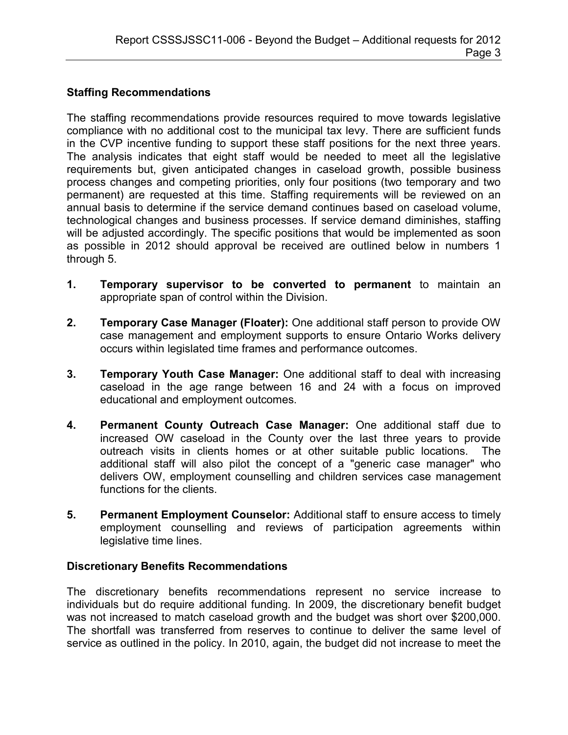#### **Staffing Recommendations**

The staffing recommendations provide resources required to move towards legislative compliance with no additional cost to the municipal tax levy. There are sufficient funds in the CVP incentive funding to support these staff positions for the next three years. The analysis indicates that eight staff would be needed to meet all the legislative requirements but, given anticipated changes in caseload growth, possible business process changes and competing priorities, only four positions (two temporary and two permanent) are requested at this time. Staffing requirements will be reviewed on an annual basis to determine if the service demand continues based on caseload volume, technological changes and business processes. If service demand diminishes, staffing will be adjusted accordingly. The specific positions that would be implemented as soon as possible in 2012 should approval be received are outlined below in numbers 1 through 5.

- **1. Temporary supervisor to be converted to permanent** to maintain an appropriate span of control within the Division.
- **2. Temporary Case Manager (Floater):** One additional staff person to provide OW case management and employment supports to ensure Ontario Works delivery occurs within legislated time frames and performance outcomes.
- **3. Temporary Youth Case Manager:** One additional staff to deal with increasing caseload in the age range between 16 and 24 with a focus on improved educational and employment outcomes.
- **4. Permanent County Outreach Case Manager:** One additional staff due to increased OW caseload in the County over the last three years to provide outreach visits in clients homes or at other suitable public locations. The additional staff will also pilot the concept of a "generic case manager" who delivers OW, employment counselling and children services case management functions for the clients.
- **5. Permanent Employment Counselor:** Additional staff to ensure access to timely employment counselling and reviews of participation agreements within legislative time lines.

#### **Discretionary Benefits Recommendations**

The discretionary benefits recommendations represent no service increase to individuals but do require additional funding. In 2009, the discretionary benefit budget was not increased to match caseload growth and the budget was short over \$200,000. The shortfall was transferred from reserves to continue to deliver the same level of service as outlined in the policy. In 2010, again, the budget did not increase to meet the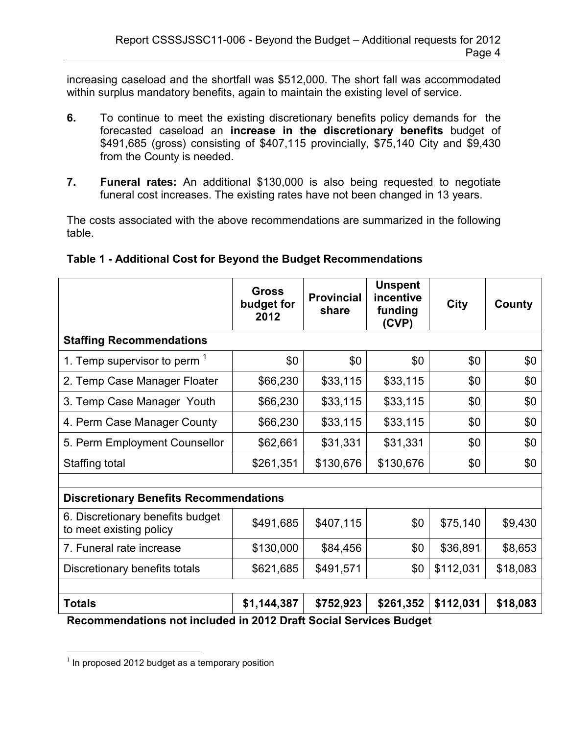increasing caseload and the shortfall was \$512,000. The short fall was accommodated within surplus mandatory benefits, again to maintain the existing level of service.

- **6.** To continue to meet the existing discretionary benefits policy demands for the forecasted caseload an **increase in the discretionary benefits** budget of \$491,685 (gross) consisting of \$407,115 provincially, \$75,140 City and \$9,430 from the County is needed.
- **7. Funeral rates:** An additional \$130,000 is also being requested to negotiate funeral cost increases. The existing rates have not been changed in 13 years.

The costs associated with the above recommendations are summarized in the following table.

|                                                             | <b>Gross</b><br>budget for<br>2012 | <b>Provincial</b><br>share | <b>Unspent</b><br>incentive<br>funding<br>(CVP) | <b>City</b> | County   |  |  |
|-------------------------------------------------------------|------------------------------------|----------------------------|-------------------------------------------------|-------------|----------|--|--|
| <b>Staffing Recommendations</b>                             |                                    |                            |                                                 |             |          |  |  |
| 1. Temp supervisor to perm <sup>1</sup>                     | \$0                                | \$0                        | \$0                                             | \$0         | \$0      |  |  |
| 2. Temp Case Manager Floater                                | \$66,230                           | \$33,115                   | \$33,115                                        | \$0         | \$0      |  |  |
| 3. Temp Case Manager Youth                                  | \$66,230                           | \$33,115                   | \$33,115                                        | \$0         | \$0      |  |  |
| 4. Perm Case Manager County                                 | \$66,230                           | \$33,115                   | \$33,115                                        | \$0         | \$0      |  |  |
| 5. Perm Employment Counsellor                               | \$62,661                           | \$31,331                   | \$31,331                                        | \$0         | \$0      |  |  |
| Staffing total                                              | \$261,351                          | \$130,676                  | \$130,676                                       | \$0         | \$0      |  |  |
|                                                             |                                    |                            |                                                 |             |          |  |  |
| <b>Discretionary Benefits Recommendations</b>               |                                    |                            |                                                 |             |          |  |  |
| 6. Discretionary benefits budget<br>to meet existing policy | \$491,685                          | \$407,115                  | \$0                                             | \$75,140    | \$9,430  |  |  |
| 7. Funeral rate increase                                    | \$130,000                          | \$84,456                   | \$0                                             | \$36,891    | \$8,653  |  |  |
| Discretionary benefits totals                               | \$621,685                          | \$491,571                  | \$0                                             | \$112,031   | \$18,083 |  |  |
|                                                             |                                    |                            |                                                 |             |          |  |  |
| <b>Totals</b>                                               | \$1,144,387                        | \$752,923                  | \$261,352                                       | \$112,031   | \$18,083 |  |  |

### **Table 1 - Additional Cost for Beyond the Budget Recommendations**

**Recommendations not included in 2012 Draft Social Services Budget** 

 $\overline{a}$ 

 $1$  In proposed 2012 budget as a temporary position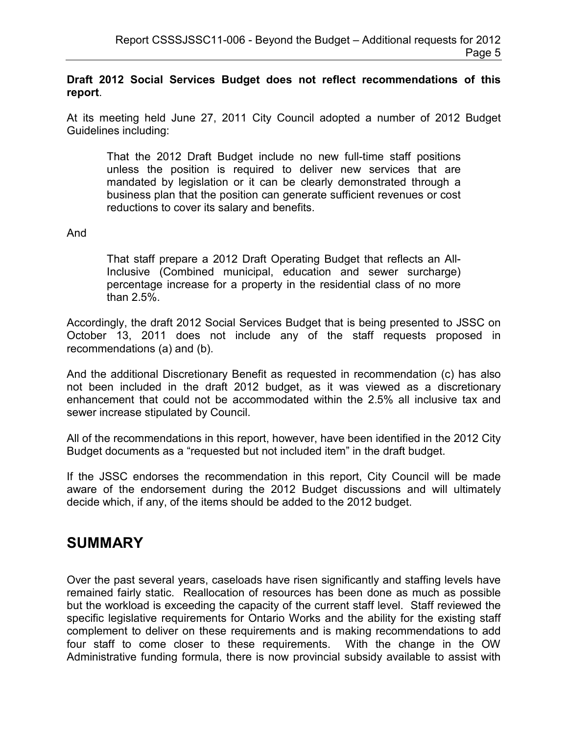#### **Draft 2012 Social Services Budget does not reflect recommendations of this report**.

At its meeting held June 27, 2011 City Council adopted a number of 2012 Budget Guidelines including:

That the 2012 Draft Budget include no new full-time staff positions unless the position is required to deliver new services that are mandated by legislation or it can be clearly demonstrated through a business plan that the position can generate sufficient revenues or cost reductions to cover its salary and benefits.

#### And

That staff prepare a 2012 Draft Operating Budget that reflects an All-Inclusive (Combined municipal, education and sewer surcharge) percentage increase for a property in the residential class of no more than 2.5%.

Accordingly, the draft 2012 Social Services Budget that is being presented to JSSC on October 13, 2011 does not include any of the staff requests proposed in recommendations (a) and (b).

And the additional Discretionary Benefit as requested in recommendation (c) has also not been included in the draft 2012 budget, as it was viewed as a discretionary enhancement that could not be accommodated within the 2.5% all inclusive tax and sewer increase stipulated by Council.

All of the recommendations in this report, however, have been identified in the 2012 City Budget documents as a "requested but not included item" in the draft budget.

If the JSSC endorses the recommendation in this report, City Council will be made aware of the endorsement during the 2012 Budget discussions and will ultimately decide which, if any, of the items should be added to the 2012 budget.

### **SUMMARY**

Over the past several years, caseloads have risen significantly and staffing levels have remained fairly static. Reallocation of resources has been done as much as possible but the workload is exceeding the capacity of the current staff level. Staff reviewed the specific legislative requirements for Ontario Works and the ability for the existing staff complement to deliver on these requirements and is making recommendations to add four staff to come closer to these requirements. With the change in the OW Administrative funding formula, there is now provincial subsidy available to assist with